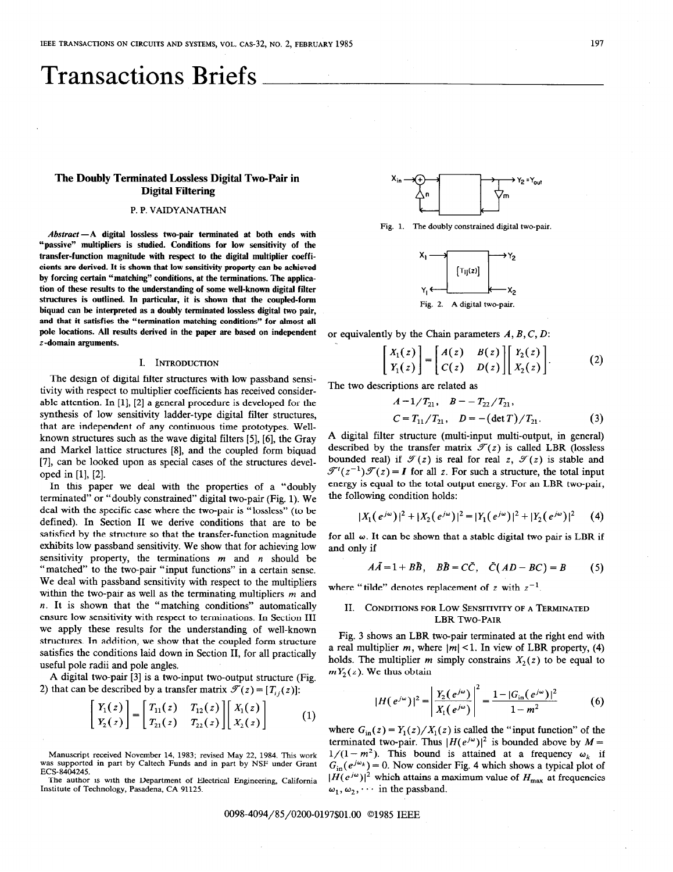# Transactions Briefs

# The Doubly Terminated Lossless Digital Two-Pair in Digital Filtering

## P. P. VAIDYANATHAN

Abstract-A digital lossless two-pair terminated at both ends with "passive" multipliers is studied. Conditions for low sensitivity of the transfer-function magnitude with respect to the digital multiplier coefficients are derived. It is shown that low sensitivity property can be achieved by forcing certain "matching" conditions, at the terminations. The application of these results to the understanding of some well-known digital filter structures is outlined. In particular, it is shown that the coupled-form biquad can be interpreted as a doubly terminated lossless digital two pair, and that it satisfies the "termination matching conditions" for almost all pole locations. All results derived in the paper are based on independent z-domain arguments.

### I. INTRODUCTION

The design of digital filter structures with low passband sensitivity with respect to multiplier coefficients has received considerable attention. In [l], [2] a general procedure is developed for the synthesis of low sensitivity ladder-type digital filter structures, that are independent of any continuous time prototypes. Wellknown structures such as the wave digital filters [5], [6], the Gray and Markel lattice structures [8], and the coupled form biquad [7], can be looked upon as special cases of the structures developed in [l], [2].

In this paper we deal with the properties of a "doubly terminated" or "doubly constrained" digital two-pair (Fig. 1). We deal with the specific case where the two-pair is "lossless" (to be defined). In Section II we derive conditions that are to be satisfied by the structure so that the transfer-function magnitude exhibits low passband sensitivity. We show that for achieving low sensitivity property, the terminations  $m$  and  $n$  should be "matched" to the two-pair "input functions" in a certain sense. We deal with passband sensitivity with respect to the multipliers within the two-pair as well as the terminating multipliers  $m$  and n. It is shown that the "matching conditions" automatically ensure low sensitivity with respect to terminations. In Section III we apply these results for the understanding of well-known structures. In addition, we show that the coupled form structure satisfies the conditions laid down in Section II, for all practically useful pole radii and pole angles.

A digital two-pair [3] is a two-input two-output structure (Fig. 2) that can be described by a transfer matrix  $\mathcal{F}(z) = [T_{ij}(z)]$ :

$$
\begin{bmatrix} Y_1(z) \\ Y_2(z) \end{bmatrix} = \begin{bmatrix} T_{11}(z) & T_{12}(z) \\ T_{21}(z) & T_{22}(z) \end{bmatrix} \begin{bmatrix} X_1(z) \\ X_2(z) \end{bmatrix}
$$
 (1)

Manuscript received November 14, 1983; revised May 22, 1984. This work was supported in part by Caltech Funds and in part by NSF under Grant ECS-8404245.

The author is with the Department of Electrical Engineering, California Institute of Technology, Pasadena, CA 91125.



Fig. 1. The doubly constrained digital two-pair.



or equivalently by the Chain parameters  $A, B, C, D$ :

$$
\begin{bmatrix} X_1(z) \\ Y_1(z) \end{bmatrix} = \begin{bmatrix} A(z) & B(z) \\ C(z) & D(z) \end{bmatrix} \begin{bmatrix} Y_2(z) \\ X_2(z) \end{bmatrix}.
$$
 (2)

The two descriptions are related as

$$
A = 1/T_{21}, \quad B = -T_{22}/T_{21},
$$
  
\n
$$
C = T_{11}/T_{21}, \quad D = -(\det T)/T_{21}.
$$
 (3)

A digital filter structure (multi-input multi-output, in general) described by the transfer matrix  $\mathcal{T}(z)$  is called LBR (lossless bounded real) if  $\mathcal{T}(z)$  is real for real z,  $\mathcal{T}(z)$  is stable and  $\mathcal{F}'(z^{-1})\mathcal{F}(z) = I$  for all z. For such a structure, the total input energy is equal to the total output energy. For an LBR two-pair, the following condition holds:

$$
|X_1(e^{j\omega})|^2 + |X_2(e^{j\omega})|^2 = |Y_1(e^{j\omega})|^2 + |Y_2(e^{j\omega})|^2 \qquad (4)
$$

for all  $\omega$ . It can be shown that a stable digital two pair is LBR if and only if

$$
A\tilde{A} = 1 + B\tilde{B}, \quad B\tilde{B} = C\tilde{C}, \quad \tilde{C}(AD - BC) = B \tag{5}
$$

where "tilde" denotes replacement of z with  $z^{-1}$ .

## II. CONDITIONS FOR LOW SENSITIVITY OF A TERMINATED LBR TWO-PAIR

Fig. 3 shows an LBR two-pair terminated at the right end with a real multiplier m, where  $|m|$  < 1. In view of LBR property, (4) holds. The multiplier m simply constrains  $X_2(z)$  to be equal to  $mY_2(z)$ . We thus obtain

$$
|H(e^{j\omega})|^2 = \left| \frac{Y_2(e^{j\omega})}{X_1(e^{j\omega})} \right|^2 = \frac{1 - |G_{\text{in}}(e^{j\omega})|^2}{1 - m^2}
$$
 (6)

where  $G_{\text{in}}(z) = Y_1(z)/X_1(z)$  is called the "input function" of the terminated two-pair. Thus  $|H(e^{j\omega})|^2$  is bounded above by  $M =$  $1/(1 - m^2)$ . This bound is attained at a frequency  $\omega_k$  if  $G_{\text{in}}(e^{j\omega_k}) = 0$ . Now consider Fig. 4 which shows a typical plot of  $|H(e^{j\omega})|^2$  which attains a maximum value of  $H_{\text{max}}$  at frequencies  $\omega_1, \omega_2, \cdots$  in the passband.

0098-4094/85/0200-0197\$01.00 ©1985 IEEE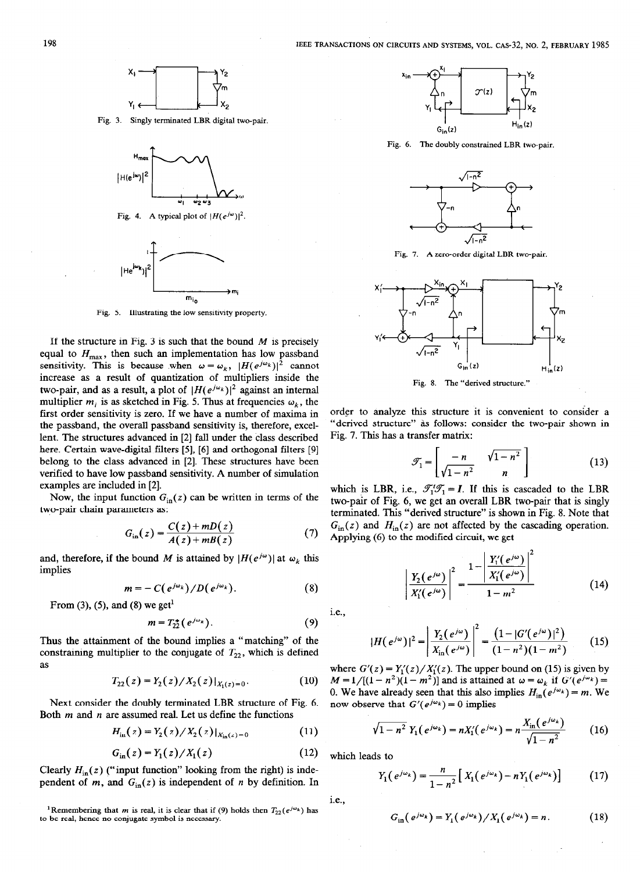

Fig. 3. Singly terminated LBR digital two-pair





Fig. 5. Illustrating the low sensitivity property.

If the structure in Fig. 3 is such that the bound  $M$  is precisely equal to  $H_{\text{max}}$ , then such an implementation has low passband sensitivity. This is because when  $\omega = \omega_k$ ,  $|H(e^{j\omega_k})|^2$  cannot increase as a result of quantization of multipliers inside the two-pair, and as a result, a plot of  $|H(e^{j\omega_k})|^2$  against an internal multiplier  $m_i$  is as sketched in Fig. 5. Thus at frequencies  $\omega_k$ , the first order sensitivity is zero. If we have a number of maxima in the passband, the overall passband sensitivity is, therefore, excellent. The structures advanced in [2] fall under the class described here. Certain wave-digital filters [5], [6] and orthogonal filters [9] belong to the class advanced in [2]. These structures have been verified to have low passband sensitivity. A number of simulation examples are included in [2].

Now, the input function  $G_{\text{in}}(z)$  can be written in terms of the two-pair chain parameters as:

$$
G_{\rm in}(z) = \frac{C(z) + mD(z)}{A(z) + mB(z)}\tag{7}
$$

and, therefore, if the bound M is attained by  $|H(e^{j\omega})|$  at  $\omega_k$  this implies

$$
m=-C(e^{j\omega_k})/D(e^{j\omega_k}).
$$
 (8)

From (3), (5), and (8) we get<sup>1</sup>

$$
m = T_{22}^* (e^{j\omega_k}). \tag{9}
$$

Thus the attainment of the bound implies a "matching" of the constraining multiplier to the conjugate of  $T_{22}$ , which is defined as

$$
T_{22}(z) = Y_2(z)/X_2(z)|_{X_1(z)=0}.
$$
 (10)

Next consider the doubly terminated LBR structure of Fig. 6. Both  $m$  and  $n$  are assumed real. Let us define the functions

$$
H_{\text{in}}(z) = Y_2(z) / X_2(z) |_{X_{\text{in}}(z) = 0}
$$
 (11)

$$
G_{\rm in}(z) = Y_1(z) / X_1(z)
$$
 (12)

Clearly  $H_{\text{in}}(z)$  ("input function" looking from the right) is independent of  $m$ , and  $G_{\text{in}}(z)$  is independent of  $n$  by definition. In

<sup>1</sup>Remembering that *m* is real, it is clear that if (9) holds then  $T_{22}(e^{j\omega_k})$  has to be real, hence no conjugate symbol is necessary.



Fig. 6. The doubly constrained LBR two-pair.



Fig. 7. A zero-order digital LBR two-pair.



order to analyze this structure it is convenient to consider a "derived structure" as follows: consider the two-pair shown in Fig. 7. This has a transfer matrix:

$$
\mathcal{T}_1 = \begin{bmatrix} -n & \sqrt{1 - n^2} \\ \sqrt{1 - n^2} & n \end{bmatrix} \tag{13}
$$

which is LBR, i.e.,  $\mathcal{J}_1^t \mathcal{J}_1 = I$ . If this is cascaded to the LBR two-pair of Fig. 6, we get an overall LBR two-pair that is singly terminated. This "derived structure" is shown in Fig. 8. Note that  $G_{\text{in}}(z)$  and  $H_{\text{in}}(z)$  are not affected by the cascading operation. Applying (6) to the modified circuit, we get

$$
\left| \frac{Y_2(e^{j\omega})}{X'_1(e^{j\omega})} \right|^2 = \frac{1 - \left| \frac{Y'_1(e^{j\omega})}{X'_1(e^{j\omega})} \right|^2}{1 - m^2}
$$
(14)

i.e.,

$$
|H(e^{j\omega})|^2 = \left| \frac{Y_2(e^{j\omega})}{X_{\text{in}}(e^{j\omega})} \right|^2 = \frac{\left(1 - |G'(e^{j\omega})|^2\right)}{(1 - n^2)(1 - m^2)}\tag{15}
$$

where  $G'(z) = Y_1'(z)/X_1'(z)$ . The upper bound on (15) is given by  $M=1/[(1-n^2)(1-m^2)]$  and is attained at  $\omega=\omega_k$  if  $G'(e^{j\omega_k})=$ 0. We have already seen that this also implies  $H_{in}(e^{j\omega_k}) = m$ . We now observe that  $G'(e^{j\omega_k}) = 0$  implies

$$
\sqrt{1-n^2} Y_1(e^{j\omega_k}) = nX'_1(e^{j\omega_k}) = n\frac{X_{\rm in}(e^{j\omega_k})}{\sqrt{1-n^2}} \qquad (16)
$$

which leads to

$$
Y_1(e^{j\omega_k}) = \frac{n}{1-n^2} \left[ X_1(e^{j\omega_k}) - n Y_1(e^{j\omega_k}) \right]
$$
 (17)

i.e.,

$$
G_{\rm in}(e^{j\omega_k})=Y_1(e^{j\omega_k})/X_1(e^{j\omega_k})=n.
$$
 (18)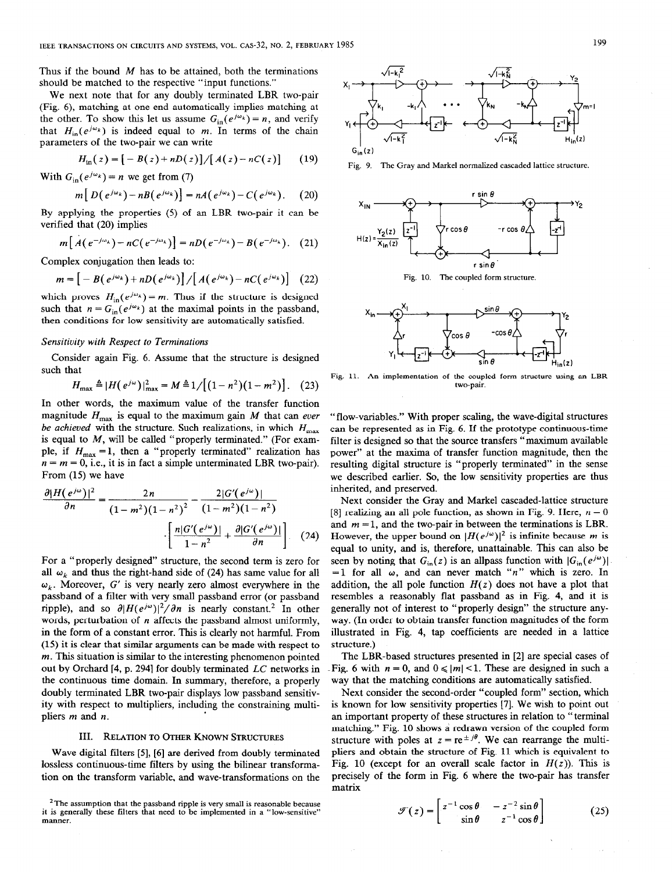Thus if the bound  $M$  has to be attained, both the terminations should be matched to the respective "input functions."

We next note that for any doubly terminated LBR two-pair (Fig. 6), matching at one end automatically implies matching at the other. To show this let us assume  $G_{in}(e^{j\omega_k}) = n$ , and verify that  $H_{in}(e^{j\omega_k})$  is indeed equal to m. In terms of the chain parameters of the two-pair we can write

$$
H_{\rm in}(z) = [-B(z) + nD(z)]/[A(z) - nC(z)] \qquad (19)
$$

With  $G_{\text{in}}(e^{j\omega_k}) = n$  we get from (7)

$$
m[D(e^{j\omega_k})-nB(e^{j\omega_k})]=nA(e^{j\omega_k})-C(e^{j\omega_k}).
$$
 (20)

By applying the properties (5) of an LBR two-pair it can be verified that (20) implies

$$
m\left[A\left(e^{-j\omega_k}\right)-nC\left(e^{-j\omega_k}\right)\right]=nD\left(e^{-j\omega_k}\right)-B\left(e^{-j\omega_k}\right). (21)
$$

Complex conjugation then leads to:

$$
m = \left[ -B\left(e^{j\omega_k}\right) + nD\left(e^{j\omega_k}\right) \right] / \left[ A\left(e^{j\omega_k}\right) - nC\left(e^{j\omega_k}\right) \right] \quad (22)
$$

which proves  $H_{\text{in}}(e^{j\omega_k}) = m$ . Thus if the structure is designed such that  $n = G_{\text{in}}(e^{j\omega_k})$  at the maximal points in the passband, then conditions for low sensitivity are automatically satisfied.

## Sensitivity with Respect to Terminations

Consider again Fig. 6. Assume that the structure is designed such that

$$
H_{\text{max}} \triangleq |H(e^{j\omega})|_{\text{max}}^2 = M \triangleq 1/[(1-n^2)(1-m^2)]. \quad (23)
$$

In other words, the maximum value of the transfer function magnitude  $H_{\text{max}}$  is equal to the maximum gain M that can ever be achieved with the structure. Such realizations, in which  $H_{\text{max}}$ is equal to  $M$ , will be called "properly terminated." (For example, if  $H_{\text{max}} = 1$ , then a "properly terminated" realization has  $n = m = 0$ , i.e., it is in fact a simple unterminated LBR two-pair). From (15) we have

$$
\frac{\partial |H(e^{j\omega})|^2}{\partial n} = \frac{2n}{(1 - m^2)(1 - n^2)^2} - \frac{2|G'(e^{j\omega})|}{(1 - m^2)(1 - n^2)}
$$

$$
\cdot \left[ \frac{n|G'(e^{j\omega})|}{1 - n^2} + \frac{\partial |G'(e^{j\omega})|}{\partial n} \right].
$$
 (24)

For a "properly designed" structure, the second term is zero for all  $\omega_k$  and thus the right-hand side of (24) has same value for all  $\omega_k$ . Moreover, G' is very nearly zero almost everywhere in the passband of a filter with very small passband error (or passband ripple), and so  $\partial |H(e^{j\omega})|^2/\partial n$  is nearly constant.<sup>2</sup> In other words, perturbation of  $n$  affects the passband almost uniformly, in the form of a constant error. This is clearly not harmful. From (15) it is clear that similar arguments can be made with respect to  $m$ . This situation is similar to the interesting phenomenon pointed out by Orchard [4, p. 2941 for doubly terminated LC networks in the continuous time domain. In summary, therefore, a properly doubly terminated LBR two-pair displays low passband sensitivity with respect to multipliers, including the constraining multipliers m and n.

## III. RELATION TO OTHER KNOWN STRUCTURES

Wave digital filters [5], [6] are derived from doubly terminated lossless continuous-time filters by using the bilinear transformation on the transform variable, and wave-transformations on the



Fig. 9. The Gray and Markel normalized cascaded lattice structure.



Fig. 10. The coupled form structure.



Fig. 11. An implementation of the coupled form structure using an LBR two-pair.

"flow-variables." With proper scaling, the wave-digital structures can be represented as in Fig. 6. If the prototype continuous-time filter is designed so that the source transfers "maximum available power" at the maxima of transfer function magnitude, then the resulting digital structure is "properly terminated" in the sense we described earlier. So, the low sensitivity properties are thus inherited, and preserved.

Next consider the Gray and Markel cascaded-lattice structure [8] realizing an all pole function, as shown in Fig. 9. Here,  $n = 0$ and  $m = 1$ , and the two-pair in between the terminations is LBR. However, the upper bound on  $|H(e^{j\omega})|^2$  is infinite because m is equal to unity, and is, therefore, unattainable. This can also be seen by noting that  $G_{\text{in}}(z)$  is an allpass function with  $|G_{\text{in}}(e^{j\omega})|$ =1 for all  $\omega$ , and can never match "n" which is zero. In addition, the all pole function  $H(z)$  does not have a plot that resembles a reasonably flat passband as in Fig. 4, and it is generally not of interest to "properly design" the structure anyway. (In order to obtain transfer function magnitudes of the form illustrated in Fig. 4, tap coefficients are needed in a lattice structure.)

The LBR-based structures presented in [2] are special cases of -Fig. 6 with  $n = 0$ , and  $0 \le |m| < 1$ . These are designed in such a way that the matching conditions are automatically satisfied.

Next consider the second-order "coupled form" section, which is known for low sensitivity properties [7]. We wish to point out an important property of these structures in relation to "terminal matching." Fig. 10 shows a redrawn version of the coupled form structure with poles at  $z = re^{\pm j\theta}$ . We can rearrange the multipliers and obtain the structure of Fig. 11 which is equivalent to Fig. 10 (except for an overall scale factor in  $H(z)$ ). This is precisely of the form in Fig. 6 where the two-pair has transfer matrix

$$
\mathcal{F}(z) = \begin{bmatrix} z^{-1}\cos\theta & -z^{-2}\sin\theta \\ \sin\theta & z^{-1}\cos\theta \end{bmatrix}
$$
 (25)

<sup>&</sup>lt;sup>2</sup> The assumption that the passband ripple is very small is reasonable because it is generally these filters that need to be implemented in a "low-sensitive" manner.